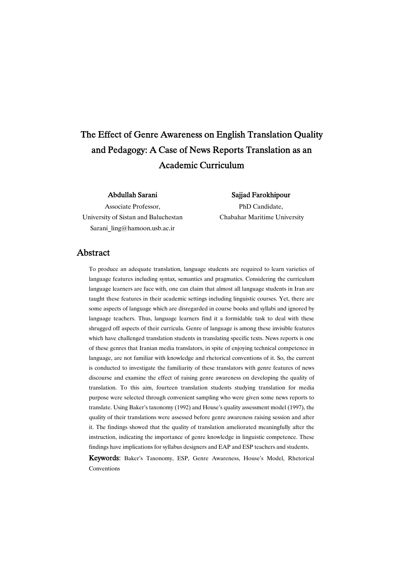# The Effect of Genre Awareness on English Translation Quality and Pedagogy: A Case of News Reports Translation as an Academic Curriculum

### Abdullah Sarani

Associate Professor, University of Sistan and Baluchestan Sarani\_ling@hamoon.usb.ac.ir

### SajjadFarokhipour

PhD Candidate, Chabahar Maritime University

### Abstract

To produce an adequate translation, language students are required to learn varieties of language features including syntax, semantics and pragmatics. Considering the curriculum language learners are face with, one can claim that almost all language students in Iran are taught these features in their academic settings including linguistic courses. Yet, there are some aspects of language which are disregarded in course books and syllabi and ignored by language teachers. Thus, language learners find it a formidable task to deal with these shrugged off aspects of their curricula. Genre of language is among these invisible features which have challenged translation students in translating specific texts. News reports is one of these genres that Iranian media translators, in spite of enjoying technical competence in language, are not familiar with knowledge and rhetorical conventions of it. So, the current is conducted to investigate the familiarity of these translators with genre features of news discourse and examine the effect of raising genre awareness on developing the quality of translation. To this aim, fourteen translation students studying translation for media purpose were selected through convenient sampling who were given some news reports to translate. Using Baker's taxonomy (1992) and House's quality assessment model (1997), the quality of their translations were assessed before genre awareness raising session and after it. The findings showed that the quality of translation ameliorated meaningfully after the instruction, indicating the importance of genre knowledge in linguistic competence. These findings have implications for syllabus designers and EAP and ESP teachers and students.

Keywords: Baker's Taxonomy, ESP, Genre Awareness, House's Model, Rhetorical Conventions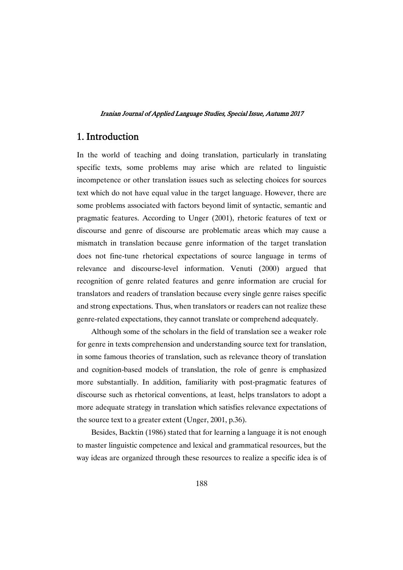# 1.Introduction

In the world of teaching and doing translation, particularly in translating specific texts, some problems may arise which are related to linguistic incompetence or other translation issues such as selecting choices for sources text which do not have equal value in the target language. However, there are some problems associated with factors beyond limit of syntactic, semantic and pragmatic features. According to Unger (2001), rhetoric features of text or discourse and genre of discourse are problematic areas which may cause a mismatch in translation because genre information of the target translation does not fine-tune rhetorical expectations of source language in terms of relevance and discourse-level information. Venuti (2000) argued that recognition of genre related features and genre information are crucial for translators and readers of translation because every single genre raises specific and strong expectations. Thus, when translators or readers can not realize these genre-related expectations, they cannot translate or comprehend adequately.

Although some of the scholars in the field of translation see a weaker role for genre in texts comprehension and understanding source text for translation, in some famous theories of translation, such as relevance theory of translation and cognition-based models of translation, the role of genre is emphasized more substantially. In addition, familiarity with post-pragmatic features of discourse such as rhetorical conventions, at least, helps translators to adopt a more adequate strategy in translation which satisfies relevance expectations of the source text to a greater extent (Unger, 2001, p.36).

Besides, Backtin (1986) stated that for learning a language it is not enough to master linguistic competence and lexical and grammatical resources, but the way ideas are organized through these resources to realize a specific idea is of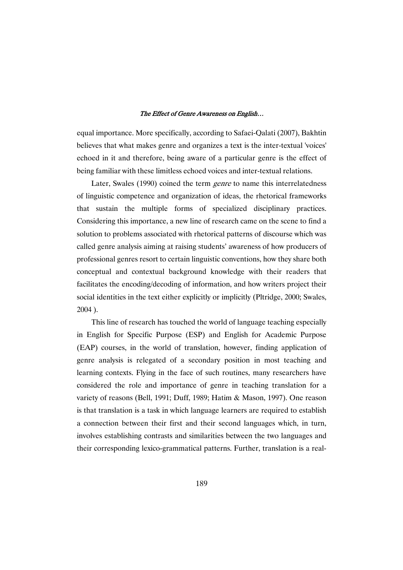equal importance. More specifically, according to Safaei-Qalati (2007), Bakhtin believes that what makes genre and organizes a text is the inter-textual 'voices' echoed in it and therefore, being aware of a particular genre is the effect of being familiar with these limitless echoed voices and inter-textual relations.

Later, Swales (1990) coined the term genre to name this interrelatedness of linguistic competence and organization of ideas, the rhetorical frameworks that sustain the multiple forms of specialized disciplinary practices. Considering this importance, a new line of research came on the scene to find a solution to problems associated with rhetorical patterns of discourse which was called genre analysis aiming at raising students' awareness of how producers of professional genres resort to certain linguistic conventions, how they share both conceptual and contextual background knowledge with their readers that facilitates the encoding/decoding of information, and how writers project their social identities in the text either explicitly or implicitly (Pltridge, 2000; Swales, 2004 ).

This line of research has touched the world of language teaching especially in English for Specific Purpose (ESP) and English for Academic Purpose (EAP) courses, in the world of translation, however, finding application of genre analysis is relegated of a secondary position in most teaching and learning contexts. Flying in the face of such routines, many researchers have considered the role and importance of genre in teaching translation for a variety of reasons (Bell, 1991; Duff, 1989; Hatim & Mason, 1997). One reason is that translation is a task in which language learners are required to establish a connection between their first and their second languages which, in turn, involves establishing contrasts and similarities between the two languages and their corresponding lexico-grammatical patterns. Further, translation is a real-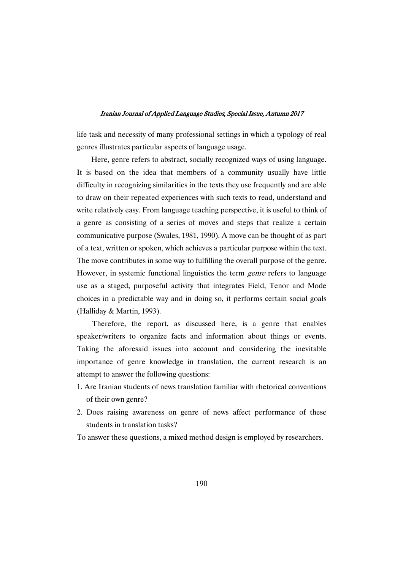life task and necessity of many professional settings in which a typology of real genres illustrates particular aspects of language usage.

Here, genre refers to abstract, socially recognized ways of using language. It is based on the idea that members of a community usually have little difficulty in recognizing similarities in the texts they use frequently and are able to draw on their repeated experiences with such texts to read, understand and write relatively easy. From language teaching perspective, it is useful to think of a genre as consisting of a series of moves and steps that realize a certain communicative purpose (Swales, 1981, 1990). A move can be thought of as part of a text, written or spoken, which achieves a particular purpose within the text. The move contributes in some way to fulfilling the overall purpose of the genre. However, in systemic functional linguistics the term *genre* refers to language use as a staged, purposeful activity that integrates Field, Tenor and Mode choices in a predictable way and in doing so, it performs certain social goals (Halliday & Martin, 1993).

Therefore, the report, as discussed here, is a genre that enables speaker/writers to organize facts and information about things or events. Taking the aforesaid issues into account and considering the inevitable importance of genre knowledge in translation, the current research is an attempt to answer the following questions:

- 1. Are Iranian students of news translation familiar with rhetorical conventions of their own genre?
- 2. Does raising awareness on genre of news affect performance of these students in translation tasks?

To answer these questions, a mixed method design is employed by researchers.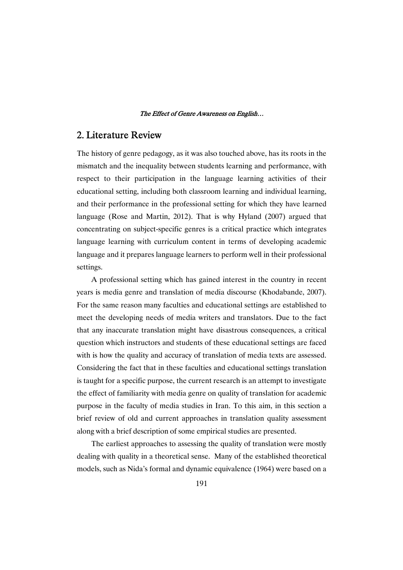# 2. Literature Review

The history of genre pedagogy, as it was also touched above, has its roots in the mismatch and the inequality between students learning and performance, with respect to their participation in the language learning activities of their educational setting, including both classroom learning and individual learning, and their performance in the professional setting for which they have learned language (Rose and Martin, 2012). That is why Hyland (2007) argued that concentrating on subject-specific genres is a critical practice which integrates language learning with curriculum content in terms of developing academic language and it prepares language learners to perform well in their professional settings.

A professional setting which has gained interest in the country in recent years is media genre and translation of media discourse (Khodabande, 2007). For the same reason many faculties and educational settings are established to meet the developing needs of media writers and translators. Due to the fact that any inaccurate translation might have disastrous consequences, a critical question which instructors and students of these educational settings are faced with is how the quality and accuracy of translation of media texts are assessed. Considering the fact that in these faculties and educational settings translation is taught for a specific purpose, the current research is an attempt to investigate the effect of familiarity with media genre on quality of translation for academic purpose in the faculty of media studies in Iran. To this aim, in this section a brief review of old and current approaches in translation quality assessment along with a brief description of some empirical studies are presented.

The earliest approaches to assessing the quality of translation were mostly dealing with quality in a theoretical sense. Many of the established theoretical models, such as Nida's formal and dynamic equivalence (1964) were based on a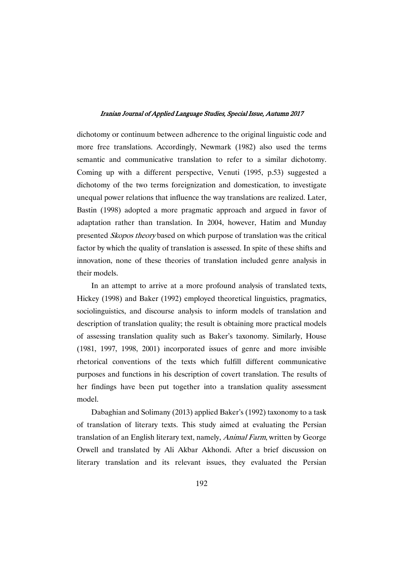dichotomy or continuum between adherence to the original linguistic code and more free translations. Accordingly, Newmark (1982) also used the terms semantic and communicative translation to refer to a similar dichotomy. Coming up with a different perspective, Venuti (1995, p.53) suggested a dichotomy of the two terms foreignization and domestication, to investigate unequal power relations that influence the way translations are realized. Later, Bastin (1998) adopted a more pragmatic approach and argued in favor of adaptation rather than translation. In 2004, however, Hatim and Munday presented Skopos theory based on which purpose of translation was the critical factor by which the quality of translation is assessed. In spite of these shifts and innovation, none of these theories of translation included genre analysis in their models.

In an attempt to arrive at a more profound analysis of translated texts, Hickey (1998) and Baker (1992) employed theoretical linguistics, pragmatics, sociolinguistics, and discourse analysis to inform models of translation and description of translation quality; the result is obtaining more practical models of assessing translation quality such as Baker's taxonomy. Similarly, House (1981, 1997, 1998, 2001) incorporated issues of genre and more invisible rhetorical conventions of the texts which fulfill different communicative purposes and functions in his description of covert translation. The results of her findings have been put together into a translation quality assessment model.

Dabaghian and Solimany (2013) applied Baker's (1992) taxonomy to a task of translation of literary texts. This study aimed at evaluating the Persian translation of an English literary text, namely, Animal Farm, written by George Orwell and translated by Ali Akbar Akhondi. After a brief discussion on literary translation and its relevant issues, they evaluated the Persian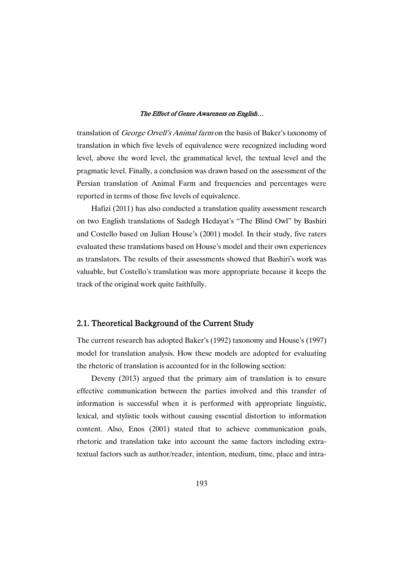translation of George Orvell's Animal farm on the basis of Baker's taxonomy of translation in which five levels of equivalence were recognized including word level, above the word level, the grammatical level, the textual level and the pragmatic level. Finally, a conclusion was drawn based on the assessment of the Persian translation of Animal Farm and frequencies and percentages were reported in terms of those five levels of equivalence.

Hafizi (2011) has also conducted a translation quality assessment research on two English translations of Sadegh Hedayat's "The Blind Owl" by Bashiri and Costello based on Julian House's (2001) model. In their study, five raters evaluated these translations based on House's model and their own experiences as translators. The results of their assessments showed that Bashiri's work was valuable, but Costello's translation was more appropriate because it keeps the track of the original work quite faithfully.

### 2.1. Theoretical Background of the Current Study

The current research has adopted Baker's (1992) taxonomy and House's (1997) model for translation analysis. How these models are adopted for evaluating the rhetoric of translation is accounted for in the following section:

Deveny (2013) argued that the primary aim of translation is to ensure effective communication between the parties involved and this transfer of information is successful when it is performed with appropriate linguistic, lexical, and stylistic tools without causing essential distortion to information content. Also, Enos (2001) stated that to achieve communication goals, rhetoric and translation take into account the same factors including extratextual factors such as author/reader, intention, medium, time, place and intra-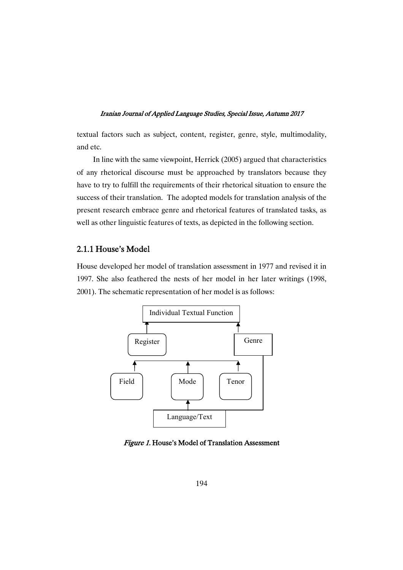textual factors such as subject, content, register, genre, style, multimodality, and etc.

In line with the same viewpoint, Herrick (2005) argued that characteristics of any rhetorical discourse must be approached by translators because they have to try to fulfill the requirements of their rhetorical situation to ensure the success of their translation. The adopted models for translation analysis of the present research embrace genre and rhetorical features of translated tasks, as well as other linguistic features of texts, as depicted in the following section.

### 2.1.1 House's Model

House developed her model of translation assessment in 1977 and revised it in 1997. She also feathered the nests of her model in her later writings (1998, 2001). The schematic representation of her model is as follows:



Figure 1. House's Model of Translation Assessment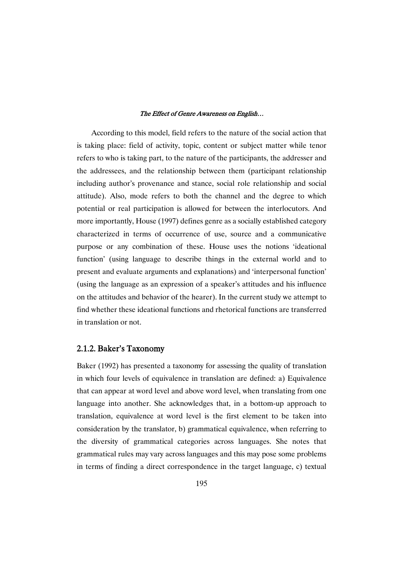According to this model, field refers to the nature of the social action that is taking place: field of activity, topic, content or subject matter while tenor refers to who is taking part, to the nature of the participants, the addresser and the addressees, and the relationship between them (participant relationship including author's provenance and stance, social role relationship and social attitude). Also, mode refers to both the channel and the degree to which potential or real participation is allowed for between the interlocutors. And more importantly, House (1997) defines genre as a socially established category characterized in terms of occurrence of use, source and a communicative purpose or any combination of these. House uses the notions 'ideational function' (using language to describe things in the external world and to present and evaluate arguments and explanations) and 'interpersonal function' (using the language as an expression of a speaker's attitudes and his influence on the attitudes and behavior of the hearer). In the current study we attempt to find whether these ideational functions and rhetorical functions are transferred in translation or not.

### 2.1.2.Baker'sTaxonomy

Baker (1992) has presented a taxonomy for assessing the quality of translation in which four levels of equivalence in translation are defined: a) Equivalence that can appear at word level and above word level, when translating from one language into another. She acknowledges that, in a bottom-up approach to translation, equivalence at word level is the first element to be taken into consideration by the translator, b) grammatical equivalence, when referring to the diversity of grammatical categories across languages. She notes that grammatical rules may vary across languages and this may pose some problems in terms of finding a direct correspondence in the target language, c) textual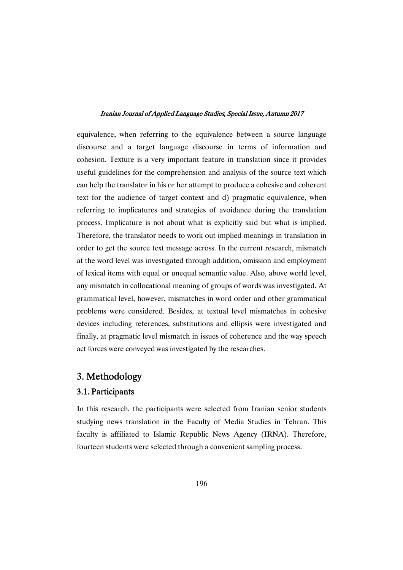equivalence, when referring to the equivalence between a source language discourse and a target language discourse in terms of information and cohesion. Texture is a very important feature in translation since it provides useful guidelines for the comprehension and analysis of the source text which can help the translator in his or her attempt to produce a cohesive and coherent text for the audience of target context and d) pragmatic equivalence, when referring to implicatures and strategies of avoidance during the translation process. Implicature is not about what is explicitly said but what is implied. Therefore, the translator needs to work out implied meanings in translation in order to get the source text message across. In the current research, mismatch at the word level was investigated through addition, omission and employment of lexical items with equal or unequal semantic value. Also, above world level, any mismatch in collocational meaning of groups of words was investigated. At grammatical level, however, mismatches in word order and other grammatical problems were considered. Besides, at textual level mismatches in cohesive devices including references, substitutions and ellipsis were investigated and finally, at pragmatic level mismatch in issues of coherence and the way speech act forces were conveyed was investigated by the researches.

# 3.Methodology

### 3.1.Participants

In this research, the participants were selected from Iranian senior students studying news translation in the Faculty of Media Studies in Tehran. This faculty is affiliated to Islamic Republic News Agency (IRNA). Therefore, fourteen students were selected through a convenient sampling process.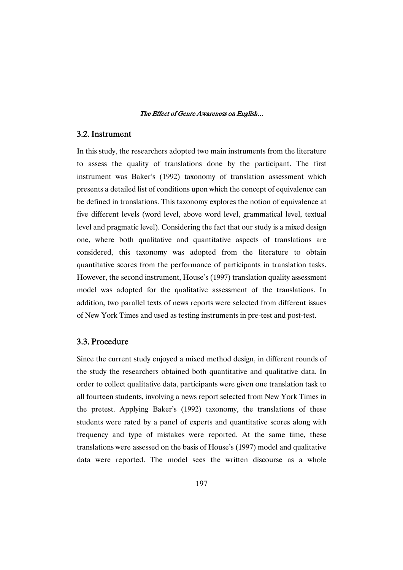### 3.2.Instrument

In this study, the researchers adopted two main instruments from the literature to assess the quality of translations done by the participant. The first instrument was Baker's (1992) taxonomy of translation assessment which presents a detailed list of conditions upon which the concept of equivalence can be defined in translations. This taxonomy explores the notion of equivalence at five different levels (word level, above word level, grammatical level, textual level and pragmatic level). Considering the fact that our study is a mixed design one, where both qualitative and quantitative aspects of translations are considered, this taxonomy was adopted from the literature to obtain quantitative scores from the performance of participants in translation tasks. However, the second instrument, House's (1997) translation quality assessment model was adopted for the qualitative assessment of the translations. In addition, two parallel texts of news reports were selected from different issues of New York Times and used as testing instruments in pre-test and post-test.

### 3.3.Procedure

Since the current study enjoyed a mixed method design, in different rounds of the study the researchers obtained both quantitative and qualitative data. In order to collect qualitative data, participants were given one translation task to all fourteen students, involving a news report selected from New York Times in the pretest. Applying Baker's (1992) taxonomy, the translations of these students were rated by a panel of experts and quantitative scores along with frequency and type of mistakes were reported. At the same time, these translations were assessed on the basis of House's (1997) model and qualitative data were reported. The model sees the written discourse as a whole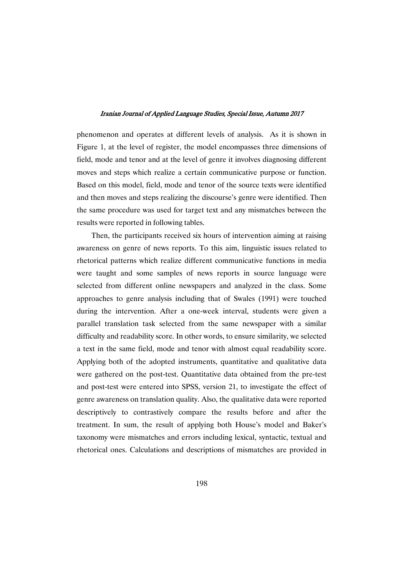phenomenon and operates at different levels of analysis. As it is shown in Figure 1, at the level of register, the model encompasses three dimensions of field, mode and tenor and at the level of genre it involves diagnosing different moves and steps which realize a certain communicative purpose or function. Based on this model, field, mode and tenor of the source texts were identified and then moves and steps realizing the discourse's genre were identified. Then the same procedure was used for target text and any mismatches between the results were reported in following tables.

Then, the participants received six hours of intervention aiming at raising awareness on genre of news reports. To this aim, linguistic issues related to rhetorical patterns which realize different communicative functions in media were taught and some samples of news reports in source language were selected from different online newspapers and analyzed in the class. Some approaches to genre analysis including that of Swales (1991) were touched during the intervention. After a one-week interval, students were given a parallel translation task selected from the same newspaper with a similar difficulty and readability score. In other words, to ensure similarity, we selected a text in the same field, mode and tenor with almost equal readability score. Applying both of the adopted instruments, quantitative and qualitative data were gathered on the post-test. Quantitative data obtained from the pre-test and post-test were entered into SPSS, version 21, to investigate the effect of genre awareness on translation quality. Also, the qualitative data were reported descriptively to contrastively compare the results before and after the treatment. In sum, the result of applying both House's model and Baker's taxonomy were mismatches and errors including lexical, syntactic, textual and rhetorical ones. Calculations and descriptions of mismatches are provided in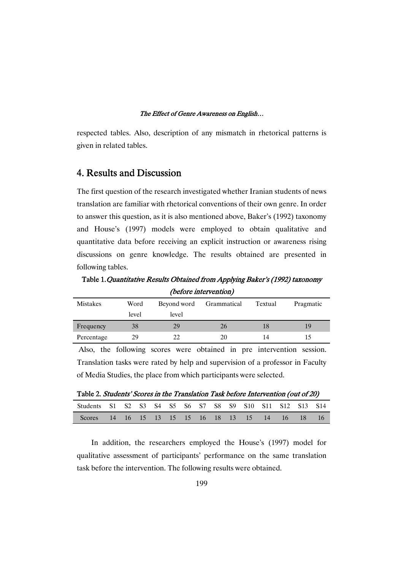respected tables. Also, description of any mismatch in rhetorical patterns is given in related tables.

# 4. Results and Discussion

The first question of the research investigated whether Iranian students of news translation are familiar with rhetorical conventions of their own genre. In order to answer this question, as it is also mentioned above, Baker's (1992) taxonomy and House's (1997) models were employed to obtain qualitative and quantitative data before receiving an explicit instruction or awareness rising discussions on genre knowledge. The results obtained are presented in following tables.

Table 1. Quantitative Results Obtained from Applying Baker's (1992) taxonomy (before intervention)

| <b>Mistakes</b> | Word  | Beyond word | Grammatical | Textual | Pragmatic |
|-----------------|-------|-------------|-------------|---------|-----------|
|                 | level | level       |             |         |           |
| Frequency       | 38    | 29          | 26          |         | 19        |
| Percentage      | 29    | 22          | 20          | 14      |           |

Also, the following scores were obtained in pre intervention session. Translation tasks were rated by help and supervision of a professor in Faculty of Media Studies, the place from which participants were selected.

Table 2. Students' Scores in the Translation Task before Intervention (out of 20)

| Students S1 S2 S3 S4 S5 S6 S7 S8 S9 S10 S11 S12 S13 S14 |  |  |  |  |  |  |  |
|---------------------------------------------------------|--|--|--|--|--|--|--|
| Scores 14 16 15 13 15 15 16 18 13 15 14 16 18 16        |  |  |  |  |  |  |  |

In addition, the researchers employed the House's (1997) model for qualitative assessment of participants' performance on the same translation task before the intervention. The following results were obtained.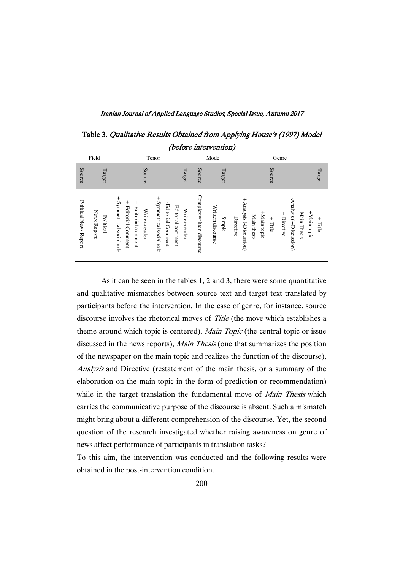Iranian Journal of Applied Language Studies, Special Issue, Autumn 2017

Table 3. Qualitative Results Obtained from Applying House's (1997) Model (before intervention)

|                       | Field                    | Tenor                                                                                                                                               |                                                          |                           | Mode                                      | Genre                                                                                                                           |                          |
|-----------------------|--------------------------|-----------------------------------------------------------------------------------------------------------------------------------------------------|----------------------------------------------------------|---------------------------|-------------------------------------------|---------------------------------------------------------------------------------------------------------------------------------|--------------------------|
| Source                | Target                   | Source                                                                                                                                              | Target                                                   | Source                    | Target                                    | Source                                                                                                                          | Target                   |
| Political News Report | News Report<br>Political | $^{+}$<br>$^{+}$<br>$^+$<br>Symmetrical social role<br>$^{+}$<br>Symmetrical social role<br>Editorial Comment<br>Editorial comment<br>Writer-reader | -Editorial Comment<br>Editorial comment<br>Writer-reader | Complex written discourse | Written discourse<br>+Directive<br>Simple | + Analysis (-Discussion)<br>Analysis (+Discussion)<br>$+$ Main thesis<br>-Main Thesis<br>+Main topic<br>+Directive<br>$+$ Title | +Main topic<br>$+$ Title |

As it can be seen in the tables 1, 2 and 3, there were some quantitative and qualitative mismatches between source text and target text translated by participants before the intervention. In the case of genre, for instance, source discourse involves the rhetorical moves of *Title* (the move which establishes a theme around which topic is centered), Main Topic (the central topic or issue discussed in the news reports), Main Thesis (one that summarizes the position of the newspaper on the main topic and realizes the function of the discourse), Analysis and Directive (restatement of the main thesis, or a summary of the elaboration on the main topic in the form of prediction or recommendation) while in the target translation the fundamental move of Main Thesis which carries the communicative purpose of the discourse is absent. Such a mismatch might bring about a different comprehension of the discourse. Yet, the second question of the research investigated whether raising awareness on genre of news affect performance of participants in translation tasks?

To this aim, the intervention was conducted and the following results were obtained in the post-intervention condition.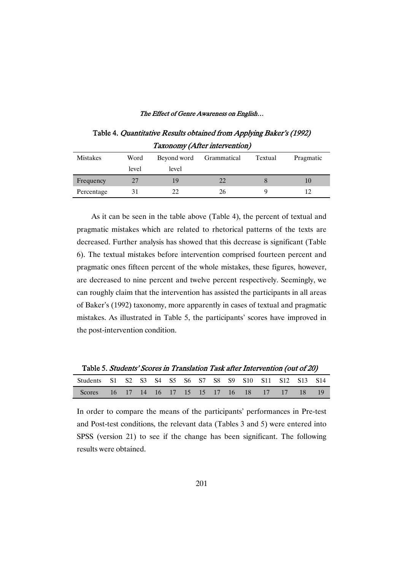Table 4. Quantitative Results obtained from Applying Baker's (1992) Taxonomy (After intervention)

| Mistakes   | Word<br>level | Beyond word<br>level | Grammatical | Textual | Pragmatic |
|------------|---------------|----------------------|-------------|---------|-----------|
| Frequency  | 27            | 19                   | 22          |         | 10        |
| Percentage | .51           | 22                   | 26          |         |           |

As it can be seen in the table above (Table 4), the percent of textual and pragmatic mistakes which are related to rhetorical patterns of the texts are decreased. Further analysis has showed that this decrease is significant (Table 6). The textual mistakes before intervention comprised fourteen percent and pragmatic ones fifteen percent of the whole mistakes, these figures, however, are decreased to nine percent and twelve percent respectively. Seemingly, we can roughly claim that the intervention has assisted the participants in all areas of Baker's (1992) taxonomy, more apparently in cases of textual and pragmatic mistakes. As illustrated in Table 5, the participants' scores have improved in the post-intervention condition.

Table 5. Students' Scores in Translation Task after Intervention (out of 20) Students S1 S2 S3 S4 S5 S6 S7 S8 S9 S10 S11 S12 S13 S14 Scores 16 17 14 16 17 15 15 17 16 18 17 17 18 19

In order to compare the means of the participants' performances in Pre-test and Post-test conditions, the relevant data (Tables 3 and 5) were entered into SPSS (version 21) to see if the change has been significant. The following results were obtained.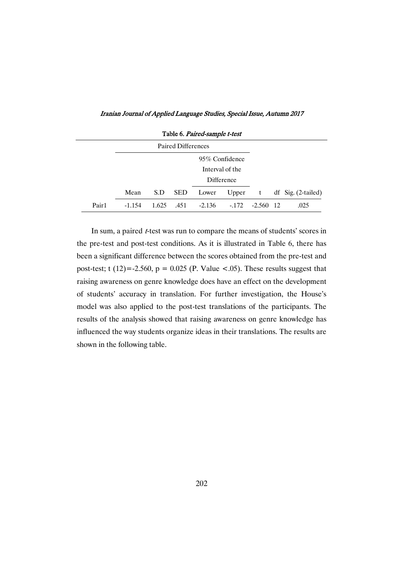|  |  |  |  |  |  | Iranian Journal of Applied Language Studies, Special Issue, Autumn 2017 |  |
|--|--|--|--|--|--|-------------------------------------------------------------------------|--|
|  |  |  |  |  |  |                                                                         |  |

| Table 6. Paired-sample t-test |          |       |            |          |           |             |  |                       |  |  |  |
|-------------------------------|----------|-------|------------|----------|-----------|-------------|--|-----------------------|--|--|--|
|                               |          |       |            |          |           |             |  |                       |  |  |  |
|                               |          |       |            |          |           |             |  |                       |  |  |  |
|                               |          |       |            |          |           |             |  |                       |  |  |  |
|                               |          |       |            |          |           |             |  |                       |  |  |  |
|                               | Mean     | S.D   | <b>SED</b> | Lower    | Upper $t$ |             |  | df Sig. $(2$ -tailed) |  |  |  |
| Pair1                         | $-1.154$ | 1.625 | .451       | $-2.136$ | $-172$    | $-2.560$ 12 |  | .025                  |  |  |  |

In sum, a paired *t*-test was run to compare the means of students' scores in the pre-test and post-test conditions. As it is illustrated in Table 6, there has been a significant difference between the scores obtained from the pre-test and post-test; t (12)=-2.560,  $p = 0.025$  (P. Value <.05). These results suggest that raising awareness on genre knowledge does have an effect on the development of students' accuracy in translation. For further investigation, the House's model was also applied to the post-test translations of the participants. The results of the analysis showed that raising awareness on genre knowledge has influenced the way students organize ideas in their translations. The results are shown in the following table.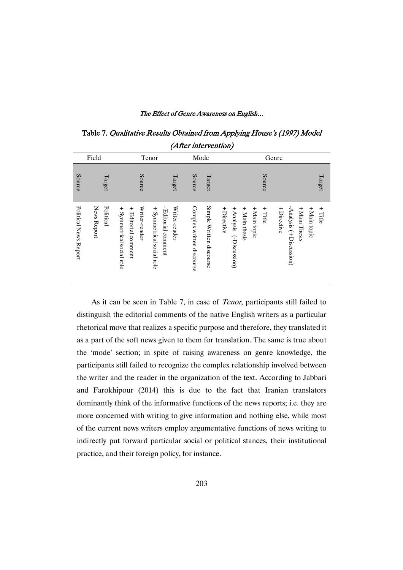Table 7. Qualitative Results Obtained from Applying House's (1997) Model (After intervention)

| Field                                             | Tenor                                                                                                                                     |               | Mode                                                  | Genre                                                                                                                                                             |           |
|---------------------------------------------------|-------------------------------------------------------------------------------------------------------------------------------------------|---------------|-------------------------------------------------------|-------------------------------------------------------------------------------------------------------------------------------------------------------------------|-----------|
| Source<br>Target                                  | Source                                                                                                                                    | Target        | Source<br>Target                                      | Source                                                                                                                                                            | Target    |
| Political News Report<br>News Report<br>Political | Writer-reader<br>$+$ Symmetrical social role<br>$\boldsymbol{+}$<br>$+$ Symmetrical social role<br>Editorial comment<br>Editorial comment | Writer-reader | Simple Written discourse<br>Complex written discourse | -Analysis (+Discussion)<br>+ Main thesis<br>+Main Thesis<br>+Directive<br>+ Analysis<br>+Main topic<br>$+$ Directive<br>+Main topic<br>$+$ Title<br>(-Discussion) | $+$ Title |

As it can be seen in Table 7, in case of *Tenor*, participants still failed to distinguish the editorial comments of the native English writers as a particular rhetorical move that realizes a specific purpose and therefore, they translated it as a part of the soft news given to them for translation. The same is true about the 'mode' section; in spite of raising awareness on genre knowledge, the participants still failed to recognize the complex relationship involved between the writer and the reader in the organization of the text. According to Jabbari and Farokhipour (2014) this is due to the fact that Iranian translators dominantly think of the informative functions of the news reports; i.e. they are more concerned with writing to give information and nothing else, while most of the current news writers employ argumentative functions of news writing to indirectly put forward particular social or political stances, their institutional practice, and their foreign policy, for instance.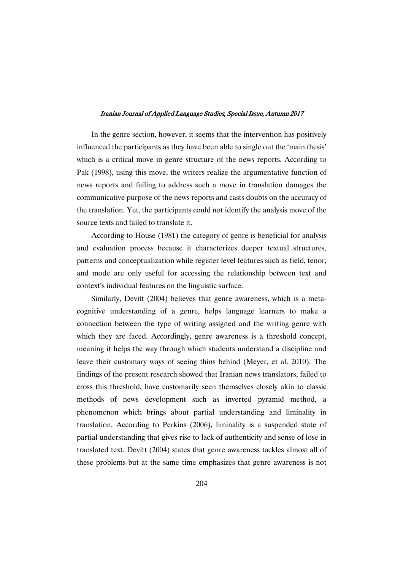In the genre section, however, it seems that the intervention has positively influenced the participants as they have been able to single out the 'main thesis' which is a critical move in genre structure of the news reports. According to Pak (1998), using this move, the writers realize the argumentative function of news reports and failing to address such a move in translation damages the communicative purpose of the news reports and casts doubts on the accuracy of the translation. Yet, the participants could not identify the analysis move of the source texts and failed to translate it.

According to House (1981) the category of genre is beneficial for analysis and evaluation process because it characterizes deeper textual structures, patterns and conceptualization while register level features such as field, tenor, and mode are only useful for accessing the relationship between text and context's individual features on the linguistic surface.

Similarly, Devitt (2004) believes that genre awareness, which is a metacognitive understanding of a genre, helps language learners to make a connection between the type of writing assigned and the writing genre with which they are faced. Accordingly, genre awareness is a threshold concept, meaning it helps the way through which students understand a discipline and leave their customary ways of seeing thins behind (Meyer, et al. 2010). The findings of the present research showed that Iranian news translators, failed to cross this threshold, have customarily seen themselves closely akin to classic methods of news development such as inverted pyramid method, a phenomenon which brings about partial understanding and liminality in translation. According to Perkins (2006), liminality is a suspended state of partial understanding that gives rise to lack of authenticity and sense of lose in translated text. Devitt (2004) states that genre awareness tackles almost all of these problems but at the same time emphasizes that genre awareness is not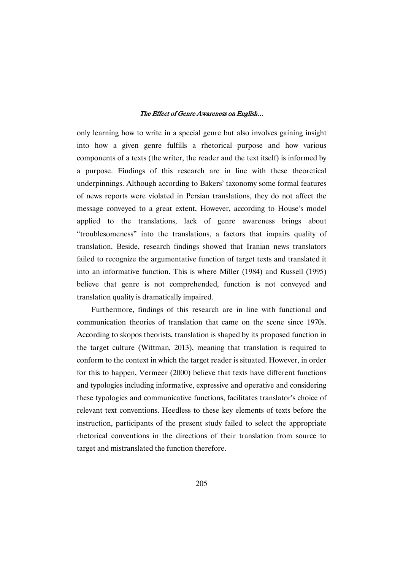only learning how to write in a special genre but also involves gaining insight into how a given genre fulfills a rhetorical purpose and how various components of a texts (the writer, the reader and the text itself) is informed by a purpose. Findings of this research are in line with these theoretical underpinnings. Although according to Bakers' taxonomy some formal features of news reports were violated in Persian translations, they do not affect the message conveyed to a great extent, However, according to House's model applied to the translations, lack of genre awareness brings about "troublesomeness" into the translations, a factors that impairs quality of translation. Beside, research findings showed that Iranian news translators failed to recognize the argumentative function of target texts and translated it into an informative function. This is where Miller (1984) and Russell (1995) believe that genre is not comprehended, function is not conveyed and translation quality is dramatically impaired.

Furthermore, findings of this research are in line with functional and communication theories of translation that came on the scene since 1970s. According to skopos theorists, translation is shaped by its proposed function in the target culture (Wittman, 2013), meaning that translation is required to conform to the context in which the target reader is situated. However, in order for this to happen, Vermeer (2000) believe that texts have different functions and typologies including informative, expressive and operative and considering these typologies and communicative functions, facilitates translator's choice of relevant text conventions. Heedless to these key elements of texts before the instruction, participants of the present study failed to select the appropriate rhetorical conventions in the directions of their translation from source to target and mistranslated the function therefore.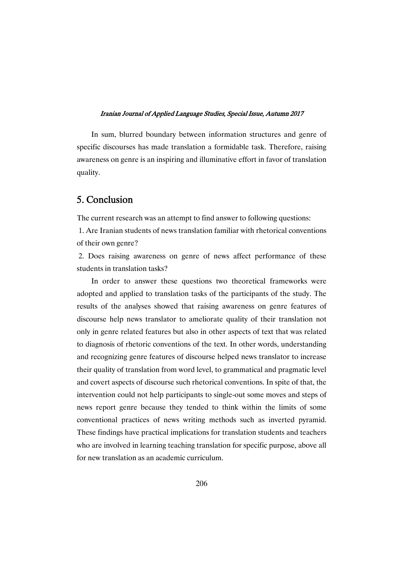In sum, blurred boundary between information structures and genre of specific discourses has made translation a formidable task. Therefore, raising awareness on genre is an inspiring and illuminative effort in favor of translation quality.

# 5.Conclusion

The current research was an attempt to find answer to following questions:

1. Are Iranian students of news translation familiar with rhetorical conventions of their own genre?

2. Does raising awareness on genre of news affect performance of these students in translation tasks?

In order to answer these questions two theoretical frameworks were adopted and applied to translation tasks of the participants of the study. The results of the analyses showed that raising awareness on genre features of discourse help news translator to ameliorate quality of their translation not only in genre related features but also in other aspects of text that was related to diagnosis of rhetoric conventions of the text. In other words, understanding and recognizing genre features of discourse helped news translator to increase their quality of translation from word level, to grammatical and pragmatic level and covert aspects of discourse such rhetorical conventions. In spite of that, the intervention could not help participants to single-out some moves and steps of news report genre because they tended to think within the limits of some conventional practices of news writing methods such as inverted pyramid. These findings have practical implications for translation students and teachers who are involved in learning teaching translation for specific purpose, above all for new translation as an academic curriculum.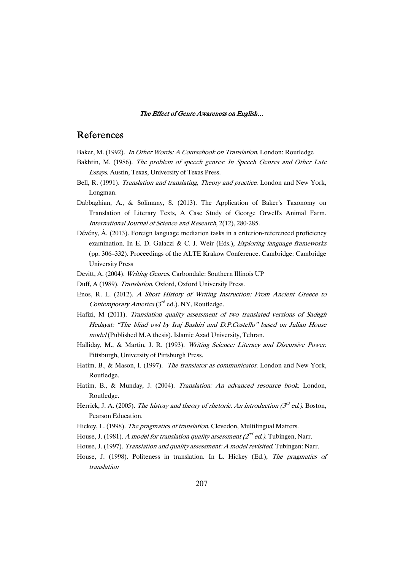### References

Baker, M. (1992). In Other Words: <sup>A</sup> Coursebook on Translation. London: Routledge

- Bakhtin, M. (1986). The problem of speech genres: In Speech Genres and Other Late Essays. Austin, Texas, University of Texas Press.
- Bell, R. (1991). *Translation and translating, Theory and practice*. London and New York, Longman.
- Dabbaghian, A., & Solimany, S. (2013). The Application of Baker's Taxonomy on Translation of Literary Texts, A Case Study of George Orwell's Animal Farm. International Journal of Science and Research, 2(12), 280-285.
- Dévény, Á. (2013). Foreign language mediation tasks in a criterion-referenced proficiency examination. In E. D. Galaczi & C. J. Weir (Eds.), Exploring language frameworks (pp. 306–332). Proceedings of the ALTE Krakow Conference. Cambridge: Cambridge University Press
- Devitt, A. (2004). Writing Genres. Carbondale: Southern Illinois UP
- Duff, A (1989). Translation. Oxford, Oxford University Press.
- Enos, R. L. (2012). <sup>A</sup> Short History of Writing Instruction: From Ancient Greece to Contemporary America (3<sup>rd</sup> ed.). NY, Routledge.
- Hafizi, M (2011). Translation quality assessment of two translated versions of Sadegh Hedayat: "The blind owl by Iraj Bashiri and D.P.Costello" based on Julian House model (Published M.A thesis). Islamic Azad University, Tehran.
- Halliday, M., & Martin, J. R. (1993). Writing Science: Literacy and Discursive Power. Pittsburgh, University of Pittsburgh Press.
- Hatim, B., & Mason, I. (1997). The translator as communicator. London and New York, Routledge.
- Hatim, B., & Munday, J. (2004). Translation: An advanced resource book. London, Routledge.
- Herrick, J. A. (2005). The history and theory of rhetoric. An introduction ( $3^{rd}$  ed.). Boston, Pearson Education.
- Hickey, L. (1998). The pragmatics of translation. Clevedon, Multilingual Matters.
- House, J. (1981). A model for translation quality assessment ( $2^{nd}$  ed.). Tubingen, Narr.
- House, J. (1997). Translation and quality assessment: A model revisited. Tubingen: Narr.
- House, J. (1998). Politeness in translation. In L. Hickey (Ed.), The pragmatics of translation